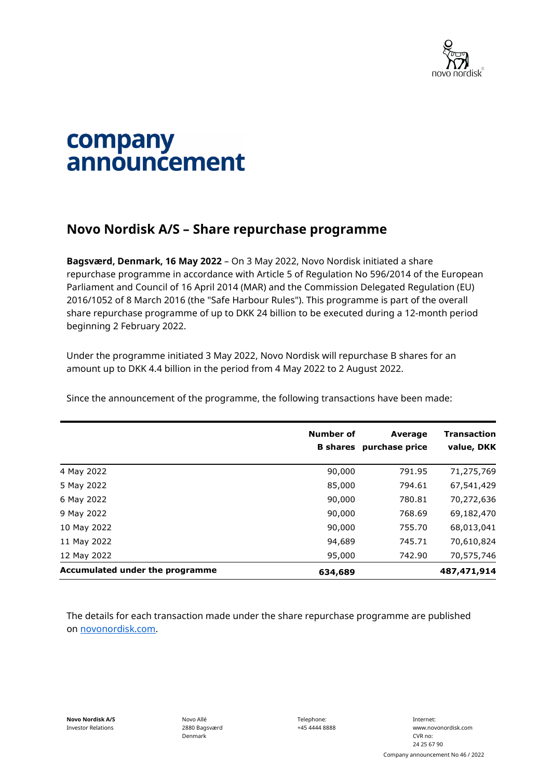

## company announcement

## **Novo Nordisk A/S – Share repurchase programme**

**Bagsværd, Denmark, 16 May 2022** – On 3 May 2022, Novo Nordisk initiated a share repurchase programme in accordance with Article 5 of Regulation No 596/2014 of the European Parliament and Council of 16 April 2014 (MAR) and the Commission Delegated Regulation (EU) 2016/1052 of 8 March 2016 (the "Safe Harbour Rules"). This programme is part of the overall share repurchase programme of up to DKK 24 billion to be executed during a 12-month period beginning 2 February 2022.

Under the programme initiated 3 May 2022, Novo Nordisk will repurchase B shares for an amount up to DKK 4.4 billion in the period from 4 May 2022 to 2 August 2022.

Since the announcement of the programme, the following transactions have been made:

|                                 | <b>Number of</b> | <b>Average</b><br><b>B</b> shares purchase price | <b>Transaction</b><br>value, DKK |
|---------------------------------|------------------|--------------------------------------------------|----------------------------------|
| 4 May 2022                      | 90,000           | 791.95                                           | 71,275,769                       |
| 5 May 2022                      | 85,000           | 794.61                                           | 67,541,429                       |
| 6 May 2022                      | 90,000           | 780.81                                           | 70,272,636                       |
| 9 May 2022                      | 90,000           | 768.69                                           | 69,182,470                       |
| 10 May 2022                     | 90,000           | 755.70                                           | 68,013,041                       |
| 11 May 2022                     | 94,689           | 745.71                                           | 70,610,824                       |
| 12 May 2022                     | 95,000           | 742.90                                           | 70,575,746                       |
| Accumulated under the programme | 634,689          |                                                  | 487,471,914                      |

The details for each transaction made under the share repurchase programme are published on [novonordisk.com.](https://www.novonordisk.com/news-and-media/news-and-ir-materials.html)